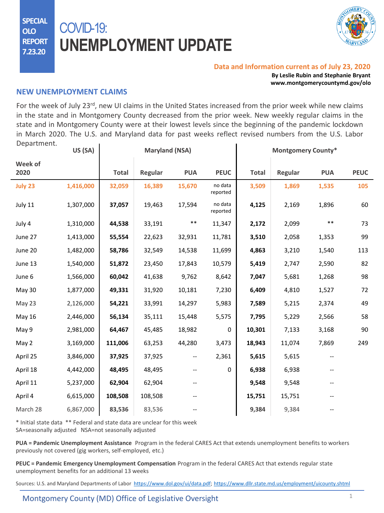**SPECIAL OLO REPORT 7.23.20**

# COVID-19: **UNEMPLOYMENT UPDATE**



#### **Data and Information current as of July 23, 2020**

**By Leslie Rubin and Stephanie Bryant www.montgomerycountymd.gov/olo**

#### **NEW UNEMPLOYMENT CLAIMS**

For the week of July 23<sup>rd</sup>, new UI claims in the United States increased from the prior week while new claims in the state and in Montgomery County decreased from the prior week. New weekly regular claims in the state and in Montgomery County were at their lowest levels since the beginning of the pandemic lockdown in March 2020. The U.S. and Maryland data for past weeks reflect revised numbers from the U.S. Labor Department.

|                 | US (SA)   | <b>Maryland (NSA)</b> |         |            |                     | <b>Montgomery County*</b> |         |            |             |
|-----------------|-----------|-----------------------|---------|------------|---------------------|---------------------------|---------|------------|-------------|
| Week of<br>2020 |           | <b>Total</b>          | Regular | <b>PUA</b> | <b>PEUC</b>         | <b>Total</b>              | Regular | <b>PUA</b> | <b>PEUC</b> |
| July 23         | 1,416,000 | 32,059                | 16,389  | 15,670     | no data<br>reported | 3,509                     | 1,869   | 1,535      | 105         |
| July 11         | 1,307,000 | 37,057                | 19,463  | 17,594     | no data<br>reported | 4,125                     | 2,169   | 1,896      | 60          |
| July 4          | 1,310,000 | 44,538                | 33,191  | $***$      | 11,347              | 2,172                     | 2,099   | $***$      | 73          |
| June 27         | 1,413,000 | 55,554                | 22,623  | 32,931     | 11,781              | 3,510                     | 2,058   | 1,353      | 99          |
| June 20         | 1,482,000 | 58,786                | 32,549  | 14,538     | 11,699              | 4,863                     | 3,210   | 1,540      | 113         |
| June 13         | 1,540,000 | 51,872                | 23,450  | 17,843     | 10,579              | 5,419                     | 2,747   | 2,590      | 82          |
| June 6          | 1,566,000 | 60,042                | 41,638  | 9,762      | 8,642               | 7,047                     | 5,681   | 1,268      | 98          |
| May 30          | 1,877,000 | 49,331                | 31,920  | 10,181     | 7,230               | 6,409                     | 4,810   | 1,527      | 72          |
| May 23          | 2,126,000 | 54,221                | 33,991  | 14,297     | 5,983               | 7,589                     | 5,215   | 2,374      | 49          |
| May 16          | 2,446,000 | 56,134                | 35,111  | 15,448     | 5,575               | 7,795                     | 5,229   | 2,566      | 58          |
| May 9           | 2,981,000 | 64,467                | 45,485  | 18,982     | $\pmb{0}$           | 10,301                    | 7,133   | 3,168      | 90          |
| May 2           | 3,169,000 | 111,006               | 63,253  | 44,280     | 3,473               | 18,943                    | 11,074  | 7,869      | 249         |
| April 25        | 3,846,000 | 37,925                | 37,925  | --         | 2,361               | 5,615                     | 5,615   | --         |             |
| April 18        | 4,442,000 | 48,495                | 48,495  |            | $\pmb{0}$           | 6,938                     | 6,938   |            |             |
| April 11        | 5,237,000 | 62,904                | 62,904  |            |                     | 9,548                     | 9,548   |            |             |
| April 4         | 6,615,000 | 108,508               | 108,508 |            |                     | 15,751                    | 15,751  |            |             |
| March 28        | 6,867,000 | 83,536                | 83,536  |            |                     | 9,384                     | 9,384   |            |             |
|                 |           |                       |         |            |                     |                           |         |            |             |

\* Initial state data \*\* Federal and state data are unclear for this week SA=seasonally adjusted NSA=not seasonally adjusted

**PUA = Pandemic Unemployment Assistance** Program in the federal CARES Act that extends unemployment benefits to workers previously not covered (gig workers, self-employed, etc.)

**PEUC = Pandemic Emergency Unemployment Compensation** Program in the federal CARES Act that extends regular state unemployment benefits for an additional 13 weeks

Sources: U.S. and Maryland Departments of Labor <https://www.dol.gov/ui/data.pdf>; <https://www.dllr.state.md.us/employment/uicounty.shtml>